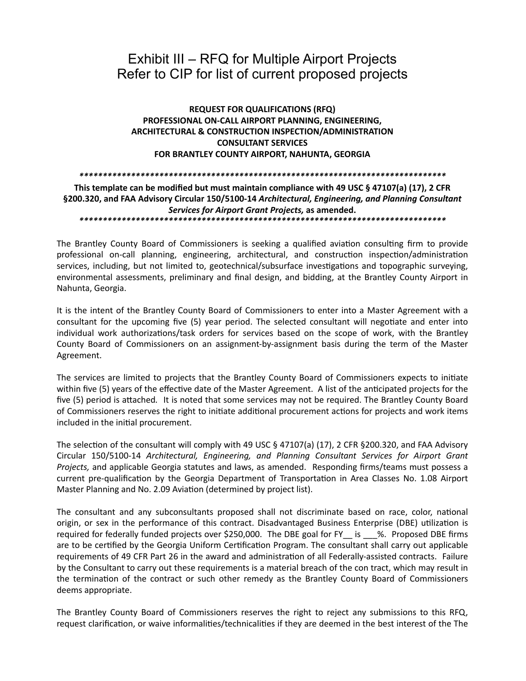## Exhibit III – RFQ for Multiple Airport Projects Refer to CIP for list of current proposed projects

### **REQUEST FOR QUALIFICATIONS (RFQ)** PROFESSIONAL ON-CALL AIRPORT PLANNING, ENGINEERING, ARCHITECTURAL & CONSTRUCTION INSPECTION/ADMINISTRATION **CONSULTANT SERVICES** FOR BRANTLEY COUNTY AIRPORT, NAHUNTA, GEORGIA

#### 

#### This template can be modified but must maintain compliance with 49 USC § 47107(a) (17), 2 CFR §200.320, and FAA Advisory Circular 150/5100-14 Architectural, Engineering, and Planning Consultant Services for Airport Grant Projects, as amended.

The Brantley County Board of Commissioners is seeking a qualified aviation consulting firm to provide professional on-call planning, engineering, architectural, and construction inspection/administration services, including, but not limited to, geotechnical/subsurface investigations and topographic surveying, environmental assessments, preliminary and final design, and bidding, at the Brantley County Airport in Nahunta, Georgia.

It is the intent of the Brantley County Board of Commissioners to enter into a Master Agreement with a consultant for the upcoming five (5) year period. The selected consultant will negotiate and enter into individual work authorizations/task orders for services based on the scope of work, with the Brantley County Board of Commissioners on an assignment-by-assignment basis during the term of the Master Agreement.

The services are limited to projects that the Brantley County Board of Commissioners expects to initiate within five (5) years of the effective date of the Master Agreement. A list of the anticipated projects for the five (5) period is attached. It is noted that some services may not be required. The Brantley County Board of Commissioners reserves the right to initiate additional procurement actions for projects and work items included in the initial procurement.

The selection of the consultant will comply with 49 USC § 47107(a) (17), 2 CFR § 200.320, and FAA Advisory Circular 150/5100-14 Architectural, Engineering, and Planning Consultant Services for Airport Grant Projects, and applicable Georgia statutes and laws, as amended. Responding firms/teams must possess a current pre-qualification by the Georgia Department of Transportation in Area Classes No. 1.08 Airport Master Planning and No. 2.09 Aviation (determined by project list).

The consultant and any subconsultants proposed shall not discriminate based on race, color, national origin, or sex in the performance of this contract. Disadvantaged Business Enterprise (DBE) utilization is required for federally funded projects over \$250,000. The DBE goal for FY is 9%. Proposed DBE firms are to be certified by the Georgia Uniform Certification Program. The consultant shall carry out applicable requirements of 49 CFR Part 26 in the award and administration of all Federally-assisted contracts. Failure by the Consultant to carry out these requirements is a material breach of the con tract, which may result in the termination of the contract or such other remedy as the Brantley County Board of Commissioners deems appropriate.

The Brantley County Board of Commissioners reserves the right to reject any submissions to this RFQ. request clarification, or waive informalities/technicalities if they are deemed in the best interest of the The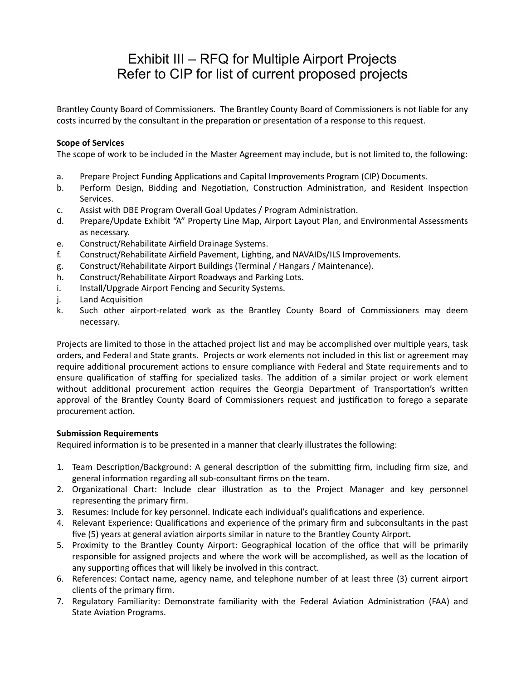# Exhibit III – RFQ for Multiple Airport Projects Refer to CIP for list of current proposed projects

Brantley County Board of Commissioners. The Brantley County Board of Commissioners is not liable for any costs incurred by the consultant in the preparation or presentation of a response to this request.

### **Scope of Services**

The scope of work to be included in the Master Agreement may include, but is not limited to, the following:

- a. Prepare Project Funding Applications and Capital Improvements Program (CIP) Documents.
- b. Perform Design, Bidding and Negotiation, Construction Administration, and Resident Inspection Services.
- c. Assist with DBE Program Overall Goal Updates / Program Administration.
- d. Prepare/Update Exhibit "A" Property Line Map, Airport Layout Plan, and Environmental Assessments as necessary.
- e. Construct/Rehabilitate Airfield Drainage Systems.
- f. Construct/Rehabilitate Airfield Pavement, Lighting, and NAVAIDs/ILS Improvements.
- g. Construct/Rehabilitate Airport Buildings (Terminal / Hangars / Maintenance).
- h. Construct/Rehabilitate Airport Roadways and Parking Lots.
- i. Install/Upgrade Airport Fencing and Security Systems.
- j. Land Acquisition
- k. Such other airport-related work as the Brantley County Board of Commissioners may deem necessary.

Projects are limited to those in the attached project list and may be accomplished over multiple years, task orders, and Federal and State grants. Projects or work elements not included in this list or agreement may require additional procurement actions to ensure compliance with Federal and State requirements and to ensure qualification of staffing for specialized tasks. The addition of a similar project or work element without additional procurement action requires the Georgia Department of Transportation's written approval of the Brantley County Board of Commissioners request and justification to forego a separate procurement action.

### **Submission Requirements**

Required information is to be presented in a manner that clearly illustrates the following:

- 1. Team Description/Background: A general description of the submitting firm, including firm size, and general information regarding all sub-consultant firms on the team.
- 2. Organizational Chart: Include clear illustration as to the Project Manager and key personnel representing the primary firm.
- 3. Resumes: Include for key personnel. Indicate each individual's qualifications and experience.
- 4. Relevant Experience: Qualifications and experience of the primary firm and subconsultants in the past five (5) years at general aviation airports similar in nature to the Brantley County Airport*.*
- 5. Proximity to the Brantley County Airport: Geographical location of the office that will be primarily responsible for assigned projects and where the work will be accomplished, as well as the location of any supporting offices that will likely be involved in this contract.
- 6. References: Contact name, agency name, and telephone number of at least three (3) current airport clients of the primary firm.
- 7. Regulatory Familiarity: Demonstrate familiarity with the Federal Aviation Administration (FAA) and State Aviation Programs.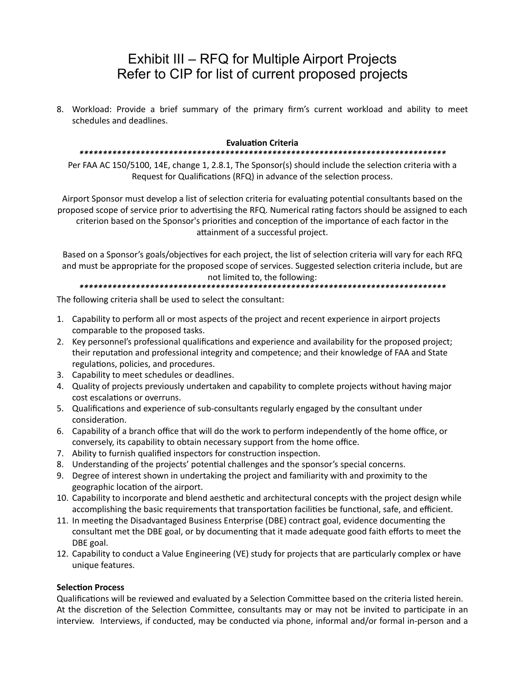## Exhibit III – RFQ for Multiple Airport Projects Refer to CIP for list of current proposed projects

8. Workload: Provide a brief summary of the primary firm's current workload and ability to meet schedules and deadlines.

#### **Evaluation Criteria**

#### 

Per FAA AC 150/5100, 14E, change 1, 2.8.1, The Sponsor(s) should include the selection criteria with a Request for Qualifications (RFQ) in advance of the selection process.

Airport Sponsor must develop a list of selection criteria for evaluating potential consultants based on the proposed scope of service prior to advertising the RFQ. Numerical rating factors should be assigned to each criterion based on the Sponsor's priorities and conception of the importance of each factor in the attainment of a successful project.

Based on a Sponsor's goals/objectives for each project, the list of selection criteria will vary for each RFQ and must be appropriate for the proposed scope of services. Suggested selection criteria include, but are not limited to, the following:

The following criteria shall be used to select the consultant:

- 1. Capability to perform all or most aspects of the project and recent experience in airport projects comparable to the proposed tasks.
- 2. Key personnel's professional qualifications and experience and availability for the proposed project; their reputation and professional integrity and competence; and their knowledge of FAA and State regulations, policies, and procedures.
- 3. Capability to meet schedules or deadlines.
- 4. Quality of projects previously undertaken and capability to complete projects without having major cost escalations or overruns.
- 5. Qualifications and experience of sub-consultants regularly engaged by the consultant under consideration.
- 6. Capability of a branch office that will do the work to perform independently of the home office, or conversely, its capability to obtain necessary support from the home office.
- 7. Ability to furnish qualified inspectors for construction inspection.
- 8. Understanding of the projects' potential challenges and the sponsor's special concerns.
- 9. Degree of interest shown in undertaking the project and familiarity with and proximity to the geographic location of the airport.
- 10. Capability to incorporate and blend aesthetic and architectural concepts with the project design while accomplishing the basic requirements that transportation facilities be functional, safe, and efficient.
- 11. In meeting the Disadvantaged Business Enterprise (DBE) contract goal, evidence documenting the consultant met the DBE goal, or by documenting that it made adequate good faith efforts to meet the DBE goal.
- 12. Capability to conduct a Value Engineering (VE) study for projects that are particularly complex or have unique features.

### **Selection Process**

Qualifications will be reviewed and evaluated by a Selection Committee based on the criteria listed herein. At the discretion of the Selection Committee, consultants may or may not be invited to participate in an interview. Interviews, if conducted, may be conducted via phone, informal and/or formal in-person and a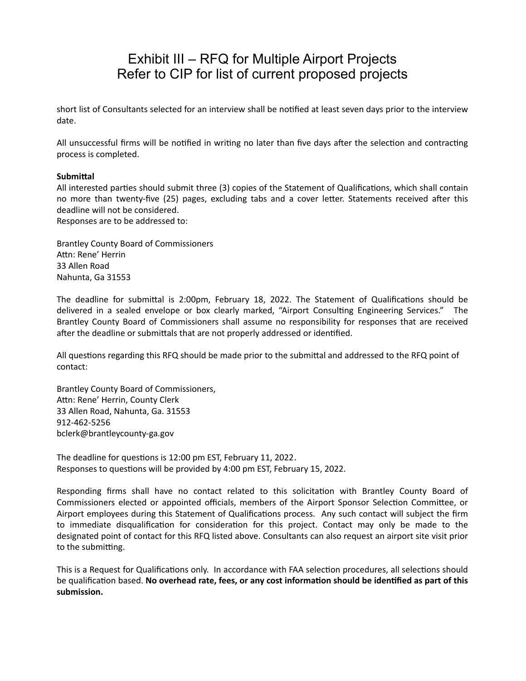## Exhibit III – RFQ for Multiple Airport Projects Refer to CIP for list of current proposed projects

short list of Consultants selected for an interview shall be notified at least seven days prior to the interview date.

All unsuccessful firms will be notified in writing no later than five days after the selection and contracting process is completed.

#### **Submittal**

All interested parties should submit three (3) copies of the Statement of Qualifications, which shall contain no more than twenty-five (25) pages, excluding tabs and a cover letter. Statements received after this deadline will not be considered.

Responses are to be addressed to:

Brantley County Board of Commissioners Attn: Rene' Herrin 33 Allen Road Nahunta, Ga 31553

The deadline for submittal is 2:00pm, February 18, 2022. The Statement of Qualifications should be delivered in a sealed envelope or box clearly marked, "Airport Consulting Engineering Services." The Brantley County Board of Commissioners shall assume no responsibility for responses that are received after the deadline or submittals that are not properly addressed or identified.

All questions regarding this RFQ should be made prior to the submittal and addressed to the RFQ point of contact:

Brantley County Board of Commissioners, Attn: Rene' Herrin, County Clerk 33 Allen Road, Nahunta, Ga. 31553 912-462-5256 bclerk@brantleycounty-ga.gov

The deadline for questions is 12:00 pm EST, February 11, 2022. Responses to questions will be provided by 4:00 pm EST, February 15, 2022.

Responding firms shall have no contact related to this solicitation with Brantley County Board of Commissioners elected or appointed officials, members of the Airport Sponsor Selection Committee, or Airport employees during this Statement of Qualifications process. Any such contact will subject the firm to immediate disqualification for consideration for this project. Contact may only be made to the designated point of contact for this RFQ listed above. Consultants can also request an airport site visit prior to the submitting.

This is a Request for Qualifications only. In accordance with FAA selection procedures, all selections should be qualification based. **No overhead rate, fees, or any cost information should be identified as part of this submission.**